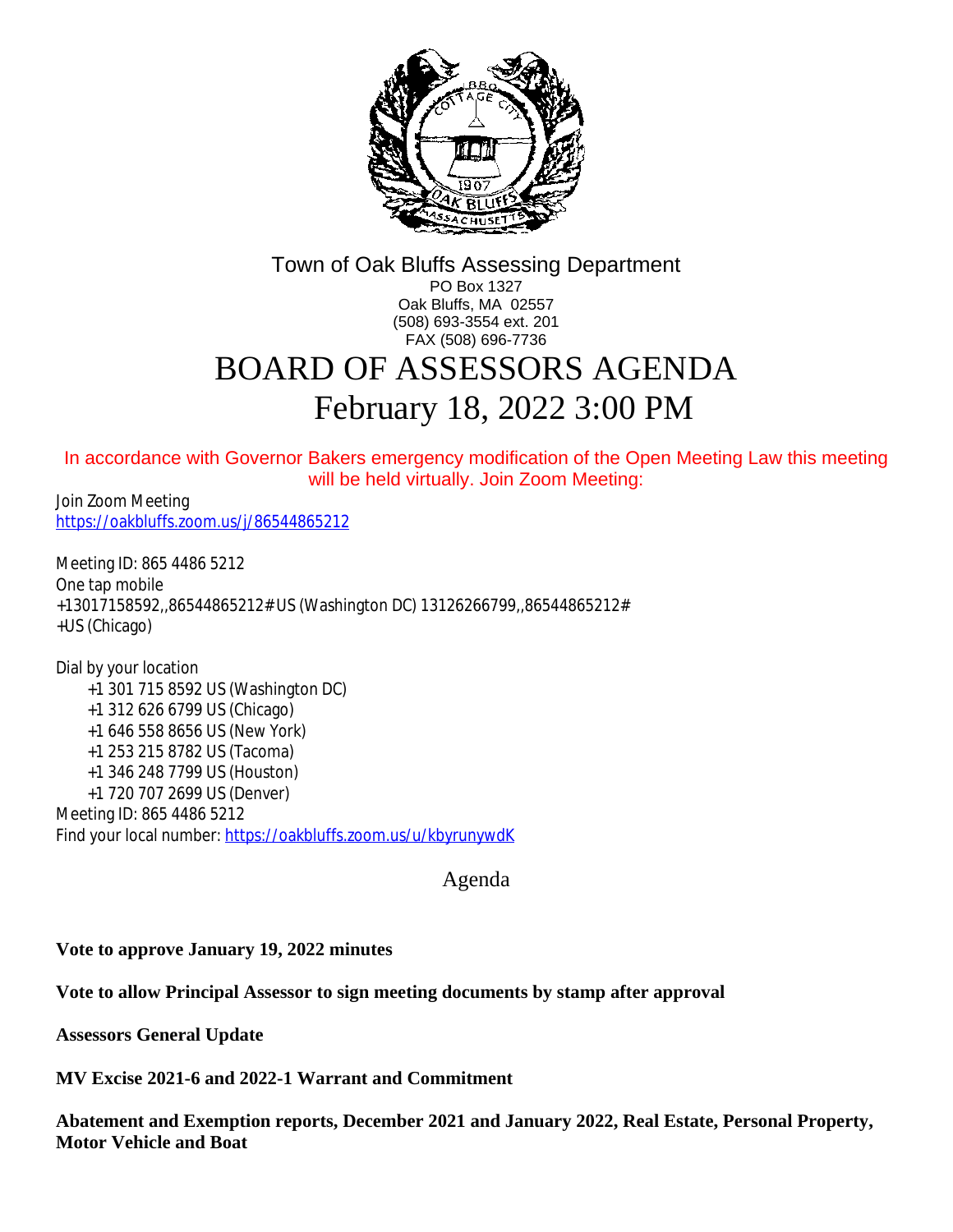

Town of Oak Bluffs Assessing Department PO Box 1327 Oak Bluffs, MA 02557 (508) 693-3554 ext. 201 FAX (508) 696-7736

## BOARD OF ASSESSORS AGENDA February 18, 2022 3:00 PM

In accordance with Governor Bakers emergency modification of the Open Meeting Law this meeting will be held virtually. Join Zoom Meeting:

Join Zoom Meeting <https://oakbluffs.zoom.us/j/86544865212>

Meeting ID: 865 4486 5212 One tap mobile +13017158592,,86544865212# US (Washington DC) 13126266799,,86544865212# +US (Chicago)

Dial by your location +1 301 715 8592 US (Washington DC) +1 312 626 6799 US (Chicago) +1 646 558 8656 US (New York) +1 253 215 8782 US (Tacoma) +1 346 248 7799 US (Houston) +1 720 707 2699 US (Denver) Meeting ID: 865 4486 5212 Find your local number: <https://oakbluffs.zoom.us/u/kbyrunywdK>

[Agenda](https://oakbluffs.zoom.us/u/kbyrunywdK)

**[Vote to approve January 19, 2022 minutes](https://oakbluffs.zoom.us/u/kbyrunywdK)**

**[Vote to allow Principal Assessor to sign meeting documents by stamp after approval](https://oakbluffs.zoom.us/u/kbyrunywdK)**

**[Assessors General Update](https://oakbluffs.zoom.us/u/kbyrunywdK)**

**[MV Excise 2021-6 and 2022-1 Warrant and Commitment](https://oakbluffs.zoom.us/u/kbyrunywdK)**

**[Abatement and Exemption reports, December 2021 and January 2022, Real Estate, Personal Property,](https://oakbluffs.zoom.us/u/kbyrunywdK)  [Motor Vehicle and Boat](https://oakbluffs.zoom.us/u/kbyrunywdK)**